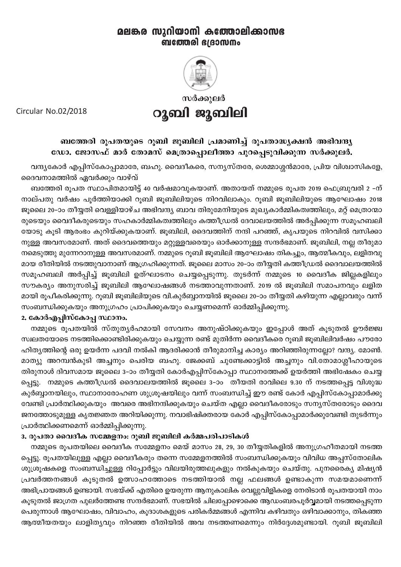# മലങ്കര സുറിയാനി കത്തോലിക്കാസഭ **ബത്തേരി ദേദാസനം**



സർക്കുലർ റുബി ജൂബിലി

Circular No.02/2018

## ബത്തേരി രൂപതയുടെ റൂബി ജൂബിലി പ്രമാണിച്ച് രൂപതാദ്ധ്യക്ഷൻ അഭിവന്ദ്യ ഡോ. ജോസഫ് മാർ തോമസ് മെത്രാപ്പൊലീത്താ പുറപ്പെടുവിക്കുന്ന സർക്കുലർ.

വന്ദ്യകോർ എപ്പിസ്കോപ്പാമാരേ, ബഹു. വൈദീകരെ, സന്യസ്തരേ, ശെമ്മാശ്ശൻമാരേ, പ്രിയ വിശ്വാസികളേ, ദൈവനാമത്തിൽ ഏവർക്കും വാഴ്വ്

ബത്തേരി രൂപത സ്ഥാപിതമായിട്ട് 40 വർഷമാവുകയാണ്. അതായത് നമ്മുടെ രൂപത 2019 ഫെബ്രുവരി 2 -ന് നാല്പതു വർഷം പൂർത്തിയാക്കി റൂബി ജൂബിലിയുടെ നിറവിലാകും. റൂബി ജൂബിലിയുടെ ആഘോഷം 2018 ജൂലൈ 20–ാം തീയ്യതി വെള്ളിയാഴ്ച അഭിവന്ദ്യ ബാവ തിരുമേനിയുടെ മുഖ്യകാർമ്മികത്വത്തിലും, മറ്റ് മെത്രാന്മാ രുടെയും വൈദീകരുടെയും സഹകാർമ്മികത്വത്തിലും കത്തീഡ്രൽ ദേവാലയത്തിൽ അർപ്പിക്കുന്ന സമൂഹബലി യോടു കൂടി ആരംഭം കുറിയ്ക്കുകയാണ്. ജൂബിലി, ദൈവത്തിന് നന്ദി പറഞ്ഞ്, കൃപയുടെ നിറവിൽ വസിക്കാ നുള്ള അവസരമാണ്. അത് ദൈവത്തെയും മറ്റുള്ളവരെയും ഓർക്കാനുള്ള സന്ദർഭമാണ്. ജൂബിലി, നല്ല തീരുമാ നമെടുത്തു മുന്നേറാനുള്ള അവസരമാണ്. നമ്മുടെ റൂബി ജൂബിലി ആഘോഷം തികച്ചും, ആത്മീകവും, ലളിതവു മായ രീതിയിൽ നടത്തുവാനാണ് ആഗ്രഹിക്കുന്നത്. ജൂലൈ മാസം 20–ാം തീയ്യതി കത്തീഡ്രൽ ദൈവാലയത്തിൽ സമൂഹബലി അർപ്പിച്ച് ജൂബിലി ഉത്ഘാടനം ചെയ്യപ്പെടുന്നു. തുടർന്ന് നമ്മുടെ 10 വൈദീക ജില്ലകളിലും സൗകര്യം അനുസരിച്ച് ജൂബിലി ആഘോഷങ്ങൾ നടത്താവുന്നതാണ്. 2019 ൽ ജൂബിലി സമാപനവും ലളിത മായി രൂപീകരിക്കുന്നു. റൂബി ജൂബിലിയുടെ വി.കുർബ്ബാനയിൽ ജൂലൈ 20–ാം തീയ്യതി കഴിയുന്ന എല്ലാവരും വന്ന് സംബന്ധിക്കുകയും അനുഗ്രഹം പ്രാപിക്കുകയും ചെയ്യണമെന്ന് ഓർമ്മിപ്പിക്കുന്നു.

#### 2. കോർഎപ്പിസ്കോപ്പ സ്ഥാനം.

നമ്മുടെ രൂപതയിൽ സ്തുത്യർഹമായി സേവനം അനുഷ്ഠിക്കുകയും ഇപ്പോൾ അത് കൂടുതൽ ഊർജ്ജ്വ സ്വലതയോടെ നടത്തിക്കൊണ്ടിരിക്കുകയും ചെയ്യുന്ന രണ്ട് മുതിർന്ന വൈദീകരെ റൂബി ജൂബിലിവർഷം പൗരോ ഹിത്യത്തിന്റെ ഒരു ഉയർന്ന പദവി നൽകി ആദരിക്കാൻ തീരുമാനിച്ച കാര്യം അറിഞ്ഞിരുന്നല്ലോ? വന്ദ്യ. മോൺ. മാത്യു അറമ്പൻകുടി അച്ചനും പെരിയ ബഹു. ജേക്കബ് ചുണ്ടേക്കാട്ടിൽ അച്ചനും വി.തോമാശ്ലീഹായുടെ തിരുനാൾ ദിവസമായ ജൂലൈ 3–ാം തീയ്യതി കോർഎപ്പിസ്കോപ്പാ സ്ഥാനത്തേക്ക് ഉയർത്തി അഭിഷേകം ചെയ്യ പ്പെട്ടു. നമ്മുടെ കത്തീഡ്രൽ ദൈവാലയത്തിൽ ജൂലൈ 3–ാം തീയതി രാവിലെ 9.30 ന് നടത്തപ്പെട്ട വിശുദ്ധ കുർബ്ബാനയിലും, സ്ഥാനാരോഹണ ശുശ്രൂഷയിലും വന്ന് സംബന്ധിച്ച് ഈ രണ്ട് കോർ എപ്പിസ്കോപ്പാമാർക്കു വേണ്ടി പ്രാർത്ഥിക്കുകയും അവരെ അഭിനന്ദിക്കുകയും ചെയ്ത എല്ലാ വൈദീകരോടും സന്യസ്തരോടും ദൈവ ജനത്തോടുമുള്ള കൃതജ്ഞത അറിയിക്കുന്നു. നവാഭിഷിക്തരായ കോർ എപ്പിസ്കോപ്പാമാർക്കുവേണ്ടി തുടർന്നും പ്രാർത്ഥിക്കണമെന്ന് ഓർമ്മിപ്പിക്കുന്നു.

### 3. രൂപതാ വൈദീക സമ്മേളനം: റൂബി ജൂബിലി കർമ്മപരിപാടികൾ

നമ്മുടെ രൂപതയിലെ വൈദീക സമ്മേളനം മെയ് മാസം 28, 29, 30 തീയ്യതികളിൽ അനുഗ്രഹീതമായി നടത്ത പ്പെട്ടു. രൂപതയിലുള്ള എല്ലാ വൈദീകരും തന്നെ സമ്മേളനത്തിൽ സംബന്ധിക്കുകയും വിവിധ അപ്പസ്തോലിക ശുശ്രൂഷകളെ സംബന്ധിച്ചുള്ള റിപ്പോർട്ടും വിലയിരുത്തലുകളും നൽകുകയും ചെയ്തു. പുനരൈക്യ മിഷ്യൻ പ്രവർത്തനങ്ങൾ കൂടുതൽ ഉത്സാഹത്തോടെ നടത്തിയാൽ നല്ല ഫലങ്ങൾ ഉണ്ടാകുന്ന സമയമാണെന്ന് അഭിപ്രായങ്ങൾ ഉണ്ടായി. സഭയ്ക്ക് എതിരെ ഉയരുന്ന ആനുകാലിക വെല്ലുവിളികളെ നേരിടാൻ രൂപതയായി നാം കൂടുതൽ ജാഗ്രത പുലർത്തേണ്ട സന്ദർഭമാണ്. സഭയിൽ ചിലപ്പോഴൊക്കെ ആഡംബരപൂർവ്വമായി നടത്തപ്പെടുന്ന പെരുന്നാൾ ആഘോഷം, വിവാഹം, കൂദാശകളുടെ പരികർമ്മങ്ങൾ എന്നിവ കഴിവതും ഒഴിവാക്കാനും, തികഞ്ഞ ആത്മീയതയും ലാളിതൃവും നിറഞ്ഞ രീതിയിൽ അവ നടത്തണമെന്നും നിർദ്ദേശമുണ്ടായി. റൂബി ജൂബിലി